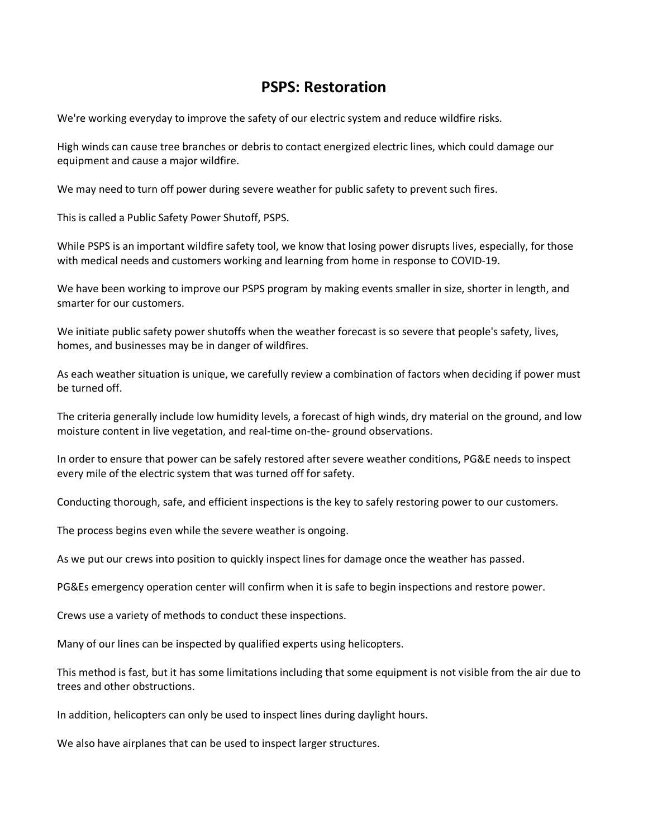## **PSPS: Restoration**

We're working everyday to improve the safety of our electric system and reduce wildfire risks.

High winds can cause tree branches or debris to contact energized electric lines, which could damage our equipment and cause a major wildfire.

We may need to turn off power during severe weather for public safety to prevent such fires.

This is called a Public Safety Power Shutoff, PSPS.

While PSPS is an important wildfire safety tool, we know that losing power disrupts lives, especially, for those with medical needs and customers working and learning from home in response to COVID-19.

We have been working to improve our PSPS program by making events smaller in size, shorter in length, and smarter for our customers.

We initiate public safety power shutoffs when the weather forecast is so severe that people's safety, lives, homes, and businesses may be in danger of wildfires.

As each weather situation is unique, we carefully review a combination of factors when deciding if power must be turned off.

The criteria generally include low humidity levels, a forecast of high winds, dry material on the ground, and low moisture content in live vegetation, and real-time on-the- ground observations.

In order to ensure that power can be safely restored after severe weather conditions, PG&E needs to inspect every mile of the electric system that was turned off for safety.

Conducting thorough, safe, and efficient inspections is the key to safely restoring power to our customers.

The process begins even while the severe weather is ongoing.

As we put our crews into position to quickly inspect lines for damage once the weather has passed.

PG&Es emergency operation center will confirm when it is safe to begin inspections and restore power.

Crews use a variety of methods to conduct these inspections.

Many of our lines can be inspected by qualified experts using helicopters.

This method is fast, but it has some limitations including that some equipment is not visible from the air due to trees and other obstructions.

In addition, helicopters can only be used to inspect lines during daylight hours.

We also have airplanes that can be used to inspect larger structures.